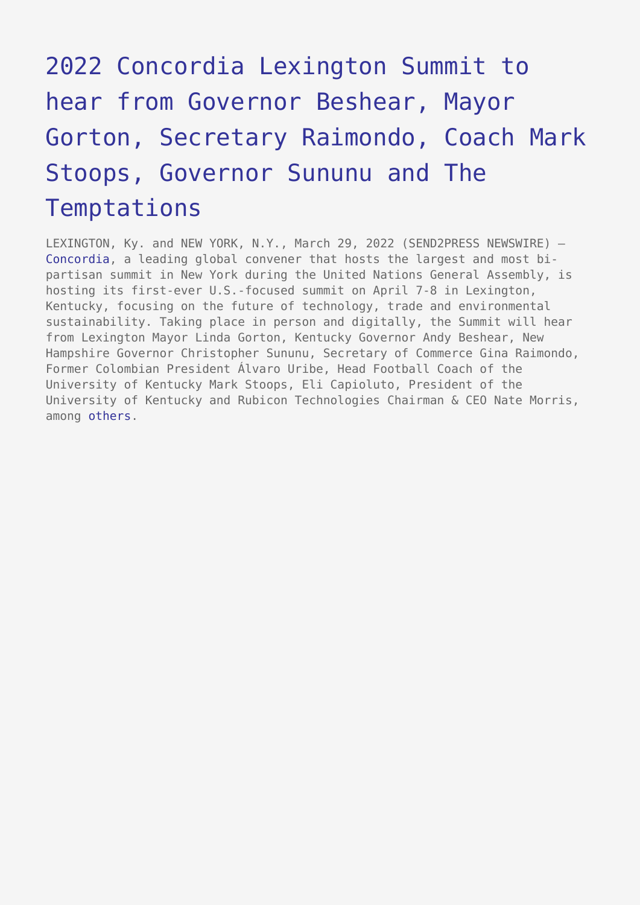## [2022 Concordia Lexington Summit to](https://www.send2press.com/wire/2022-concordia-lexington-summit-to-hear-from-governor-beshear-mayor-gorton-secretary-raimondo-coach-mark-stoops-governor-sununu-and-the-temptations/) [hear from Governor Beshear, Mayor](https://www.send2press.com/wire/2022-concordia-lexington-summit-to-hear-from-governor-beshear-mayor-gorton-secretary-raimondo-coach-mark-stoops-governor-sununu-and-the-temptations/) [Gorton, Secretary Raimondo, Coach Mark](https://www.send2press.com/wire/2022-concordia-lexington-summit-to-hear-from-governor-beshear-mayor-gorton-secretary-raimondo-coach-mark-stoops-governor-sununu-and-the-temptations/) [Stoops, Governor Sununu and The](https://www.send2press.com/wire/2022-concordia-lexington-summit-to-hear-from-governor-beshear-mayor-gorton-secretary-raimondo-coach-mark-stoops-governor-sununu-and-the-temptations/) [Temptations](https://www.send2press.com/wire/2022-concordia-lexington-summit-to-hear-from-governor-beshear-mayor-gorton-secretary-raimondo-coach-mark-stoops-governor-sununu-and-the-temptations/)

LEXINGTON, Ky. and NEW YORK, N.Y., March 29, 2022 (SEND2PRESS NEWSWIRE) — [Concordia](https://decks.concordia.net/index.php?ProposalID=GomAXpRexKZmzvqLBGKh5H0zivlfz4eXEStyGboIPJk&ContactID=rtxdNlwDYQhhwPLKl1ma3vY-XuVArXjF95FNWuonlko), a leading global convener that hosts the largest and most bipartisan summit in New York during the United Nations General Assembly, is hosting its first-ever U.S.-focused summit on April 7-8 in Lexington, Kentucky, focusing on the future of technology, trade and environmental sustainability. Taking place in person and digitally, the Summit will hear from Lexington Mayor Linda Gorton, Kentucky Governor Andy Beshear, New Hampshire Governor Christopher Sununu, Secretary of Commerce Gina Raimondo, Former Colombian President Álvaro Uribe, Head Football Coach of the University of Kentucky Mark Stoops, Eli Capioluto, President of the University of Kentucky and Rubicon Technologies Chairman & CEO Nate Morris, among [others.](https://www.concordia.net/americas/2022-lexington-summit-speakers/)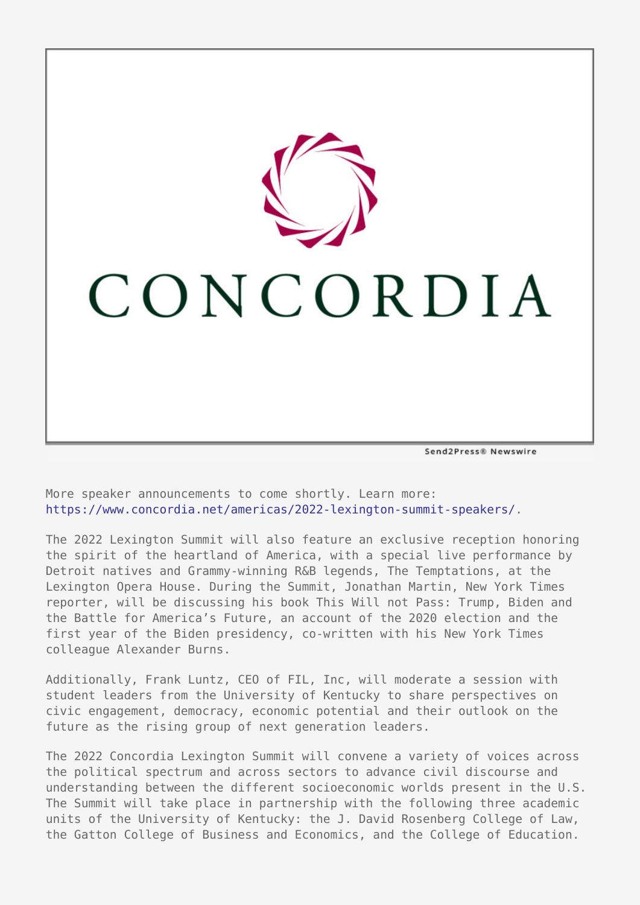

Send2Press® Newswire

More speaker announcements to come shortly. Learn more: [https://www.concordia.net/americas/2022-lexington-summit-speakers/.](https://www.concordia.net/americas/2022-lexington-summit-speakers/)

The 2022 Lexington Summit will also feature an exclusive reception honoring the spirit of the heartland of America, with a special live performance by Detroit natives and Grammy-winning R&B legends, The Temptations, at the Lexington Opera House. During the Summit, Jonathan Martin, New York Times reporter, will be discussing his book This Will not Pass: Trump, Biden and the Battle for America's Future, an account of the 2020 election and the first year of the Biden presidency, co-written with his New York Times colleague Alexander Burns.

Additionally, Frank Luntz, CEO of FIL, Inc, will moderate a session with student leaders from the University of Kentucky to share perspectives on civic engagement, democracy, economic potential and their outlook on the future as the rising group of next generation leaders.

The 2022 Concordia Lexington Summit will convene a variety of voices across the political spectrum and across sectors to advance civil discourse and understanding between the different socioeconomic worlds present in the U.S. The Summit will take place in partnership with the following three academic units of the University of Kentucky: the J. David Rosenberg College of Law, the Gatton College of Business and Economics, and the College of Education.